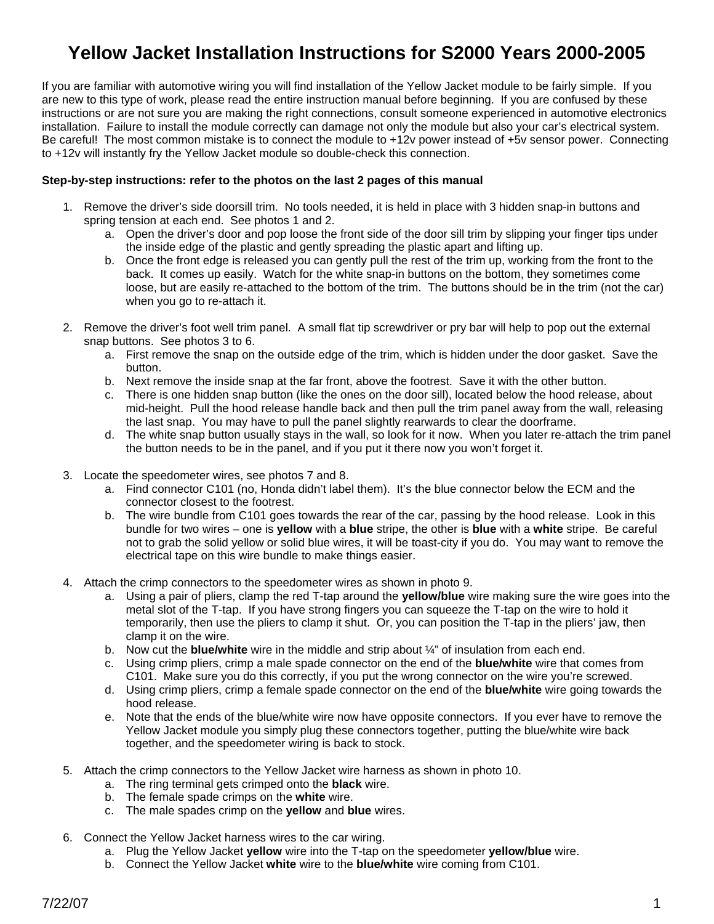# **Yellow Jacket Installation Instructions for S2000 Years 2000-2005**

If you are familiar with automotive wiring you will find installation of the Yellow Jacket module to be fairly simple. If you are new to this type of work, please read the entire instruction manual before beginning. If you are confused by these instructions or are not sure you are making the right connections, consult someone experienced in automotive electronics installation. Failure to install the module correctly can damage not only the module but also your car's electrical system. Be careful! The most common mistake is to connect the module to +12v power instead of +5v sensor power. Connecting to +12v will instantly fry the Yellow Jacket module so double-check this connection.

#### **Step-by-step instructions: refer to the photos on the last 2 pages of this manual**

- 1. Remove the driver's side doorsill trim. No tools needed, it is held in place with 3 hidden snap-in buttons and spring tension at each end. See photos 1 and 2.
	- a. Open the driver's door and pop loose the front side of the door sill trim by slipping your finger tips under the inside edge of the plastic and gently spreading the plastic apart and lifting up.
	- b. Once the front edge is released you can gently pull the rest of the trim up, working from the front to the back. It comes up easily. Watch for the white snap-in buttons on the bottom, they sometimes come loose, but are easily re-attached to the bottom of the trim. The buttons should be in the trim (not the car) when you go to re-attach it.
- 2. Remove the driver's foot well trim panel. A small flat tip screwdriver or pry bar will help to pop out the external snap buttons. See photos 3 to 6.
	- a. First remove the snap on the outside edge of the trim, which is hidden under the door gasket. Save the button.
	- b. Next remove the inside snap at the far front, above the footrest. Save it with the other button.
	- c. There is one hidden snap button (like the ones on the door sill), located below the hood release, about mid-height. Pull the hood release handle back and then pull the trim panel away from the wall, releasing the last snap. You may have to pull the panel slightly rearwards to clear the doorframe.
	- d. The white snap button usually stays in the wall, so look for it now. When you later re-attach the trim panel the button needs to be in the panel, and if you put it there now you won't forget it.
- 3. Locate the speedometer wires, see photos 7 and 8.
	- a. Find connector C101 (no, Honda didn't label them). It's the blue connector below the ECM and the connector closest to the footrest.
	- b. The wire bundle from C101 goes towards the rear of the car, passing by the hood release. Look in this bundle for two wires – one is **yellow** with a **blue** stripe, the other is **blue** with a **white** stripe. Be careful not to grab the solid yellow or solid blue wires, it will be toast-city if you do. You may want to remove the electrical tape on this wire bundle to make things easier.
- 4. Attach the crimp connectors to the speedometer wires as shown in photo 9.
	- a. Using a pair of pliers, clamp the red T-tap around the **yellow/blue** wire making sure the wire goes into the metal slot of the T-tap. If you have strong fingers you can squeeze the T-tap on the wire to hold it temporarily, then use the pliers to clamp it shut. Or, you can position the T-tap in the pliers' jaw, then clamp it on the wire.
	- b. Now cut the **blue/white** wire in the middle and strip about ¼" of insulation from each end.
	- c. Using crimp pliers, crimp a male spade connector on the end of the **blue/white** wire that comes from C101. Make sure you do this correctly, if you put the wrong connector on the wire you're screwed.
	- d. Using crimp pliers, crimp a female spade connector on the end of the **blue/white** wire going towards the hood release.
	- e. Note that the ends of the blue/white wire now have opposite connectors. If you ever have to remove the Yellow Jacket module you simply plug these connectors together, putting the blue/white wire back together, and the speedometer wiring is back to stock.
- 5. Attach the crimp connectors to the Yellow Jacket wire harness as shown in photo 10.
	- a. The ring terminal gets crimped onto the **black** wire.
	- b. The female spade crimps on the **white** wire.
	- c. The male spades crimp on the **yellow** and **blue** wires.
- 6. Connect the Yellow Jacket harness wires to the car wiring.
	- a. Plug the Yellow Jacket **yellow** wire into the T-tap on the speedometer **yellow/blue** wire.
	- b. Connect the Yellow Jacket **white** wire to the **blue/white** wire coming from C101.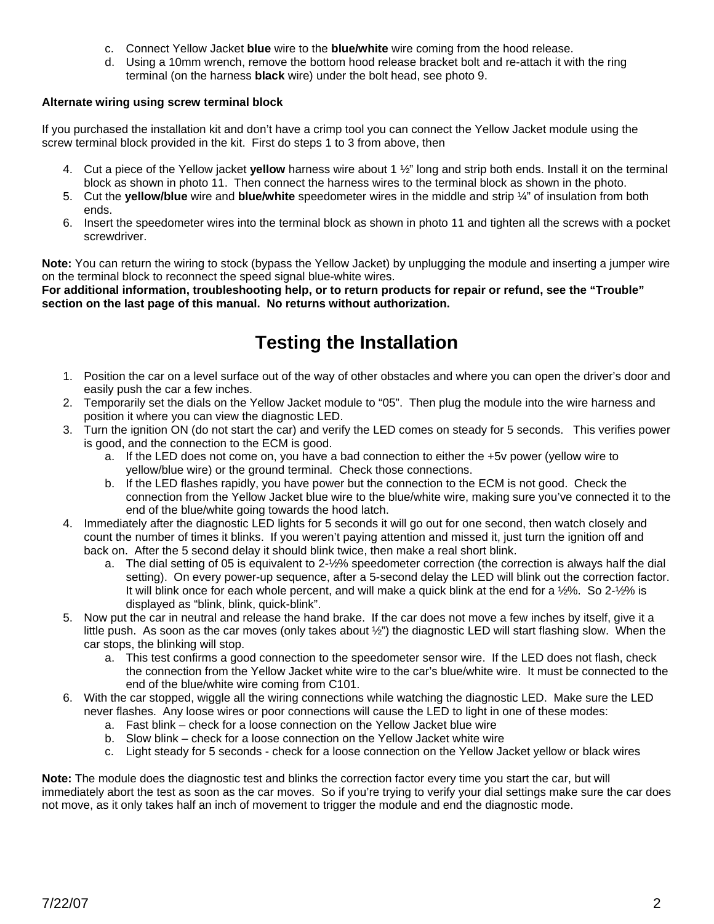- c. Connect Yellow Jacket **blue** wire to the **blue/white** wire coming from the hood release.
- d. Using a 10mm wrench, remove the bottom hood release bracket bolt and re-attach it with the ring terminal (on the harness **black** wire) under the bolt head, see photo 9.

### **Alternate wiring using screw terminal block**

If you purchased the installation kit and don't have a crimp tool you can connect the Yellow Jacket module using the screw terminal block provided in the kit. First do steps 1 to 3 from above, then

- 4. Cut a piece of the Yellow jacket **yellow** harness wire about 1 ½" long and strip both ends. Install it on the terminal block as shown in photo 11. Then connect the harness wires to the terminal block as shown in the photo.
- 5. Cut the **yellow/blue** wire and **blue/white** speedometer wires in the middle and strip ¼" of insulation from both ends.
- 6. Insert the speedometer wires into the terminal block as shown in photo 11 and tighten all the screws with a pocket screwdriver.

**Note:** You can return the wiring to stock (bypass the Yellow Jacket) by unplugging the module and inserting a jumper wire on the terminal block to reconnect the speed signal blue-white wires.

**For additional information, troubleshooting help, or to return products for repair or refund, see the "Trouble" section on the last page of this manual. No returns without authorization.** 

# **Testing the Installation**

- 1. Position the car on a level surface out of the way of other obstacles and where you can open the driver's door and easily push the car a few inches.
- 2. Temporarily set the dials on the Yellow Jacket module to "05". Then plug the module into the wire harness and position it where you can view the diagnostic LED.
- 3. Turn the ignition ON (do not start the car) and verify the LED comes on steady for 5 seconds. This verifies power is good, and the connection to the ECM is good.
	- a. If the LED does not come on, you have a bad connection to either the +5v power (yellow wire to yellow/blue wire) or the ground terminal. Check those connections.
	- b. If the LED flashes rapidly, you have power but the connection to the ECM is not good. Check the connection from the Yellow Jacket blue wire to the blue/white wire, making sure you've connected it to the end of the blue/white going towards the hood latch.
- 4. Immediately after the diagnostic LED lights for 5 seconds it will go out for one second, then watch closely and count the number of times it blinks. If you weren't paying attention and missed it, just turn the ignition off and back on. After the 5 second delay it should blink twice, then make a real short blink.
	- a. The dial setting of 05 is equivalent to 2-½% speedometer correction (the correction is always half the dial setting). On every power-up sequence, after a 5-second delay the LED will blink out the correction factor. It will blink once for each whole percent, and will make a quick blink at the end for a ½%. So 2-½% is displayed as "blink, blink, quick-blink".
- 5. Now put the car in neutral and release the hand brake. If the car does not move a few inches by itself, give it a little push. As soon as the car moves (only takes about ½") the diagnostic LED will start flashing slow. When the car stops, the blinking will stop.
	- a. This test confirms a good connection to the speedometer sensor wire. If the LED does not flash, check the connection from the Yellow Jacket white wire to the car's blue/white wire. It must be connected to the end of the blue/white wire coming from C101.
- 6. With the car stopped, wiggle all the wiring connections while watching the diagnostic LED. Make sure the LED never flashes. Any loose wires or poor connections will cause the LED to light in one of these modes:
	- a. Fast blink check for a loose connection on the Yellow Jacket blue wire
	- b. Slow blink check for a loose connection on the Yellow Jacket white wire
	- c. Light steady for 5 seconds check for a loose connection on the Yellow Jacket yellow or black wires

**Note:** The module does the diagnostic test and blinks the correction factor every time you start the car, but will immediately abort the test as soon as the car moves. So if you're trying to verify your dial settings make sure the car does not move, as it only takes half an inch of movement to trigger the module and end the diagnostic mode.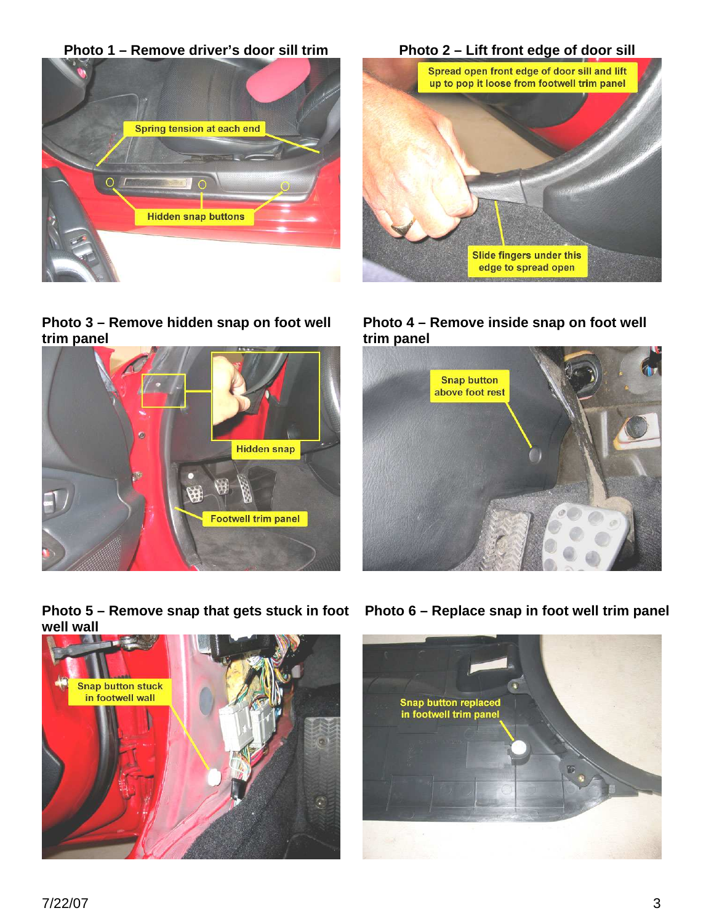

**Photo 3 – Remove hidden snap on foot well trim panel** 





**Photo 4 – Remove inside snap on foot well trim panel** 



Photo 5 – Remove snap that gets stuck in foot Photo 6 – Replace snap in foot well trim panel **well wall**